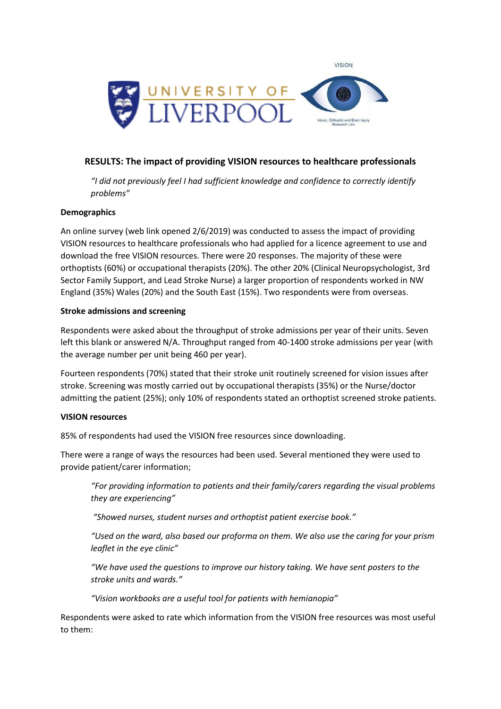

# **RESULTS: The impact of providing VISION resources to healthcare professionals**

*"I did not previously feel I had sufficient knowledge and confidence to correctly identify problems"*

## **Demographics**

An online survey (web link opened 2/6/2019) was conducted to assess the impact of providing VISION resources to healthcare professionals who had applied for a licence agreement to use and download the free VISION resources. There were 20 responses. The majority of these were orthoptists (60%) or occupational therapists (20%). The other 20% (Clinical Neuropsychologist, 3rd Sector Family Support, and Lead Stroke Nurse) a larger proportion of respondents worked in NW England (35%) Wales (20%) and the South East (15%). Two respondents were from overseas.

#### **Stroke admissions and screening**

Respondents were asked about the throughput of stroke admissions per year of their units. Seven left this blank or answered N/A. Throughput ranged from 40-1400 stroke admissions per year (with the average number per unit being 460 per year).

Fourteen respondents (70%) stated that their stroke unit routinely screened for vision issues after stroke. Screening was mostly carried out by occupational therapists (35%) or the Nurse/doctor admitting the patient (25%); only 10% of respondents stated an orthoptist screened stroke patients.

## **VISION resources**

85% of respondents had used the VISION free resources since downloading.

There were a range of ways the resources had been used. Several mentioned they were used to provide patient/carer information;

*"For providing information to patients and their family/carers regarding the visual problems they are experiencing"*

*"Showed nurses, student nurses and orthoptist patient exercise book."*

*"Used on the ward, also based our proforma on them. We also use the caring for your prism leaflet in the eye clinic"*

*"We have used the questions to improve our history taking. We have sent posters to the stroke units and wards."*

*"Vision workbooks are a useful tool for patients with hemianopia"*

Respondents were asked to rate which information from the VISION free resources was most useful to them: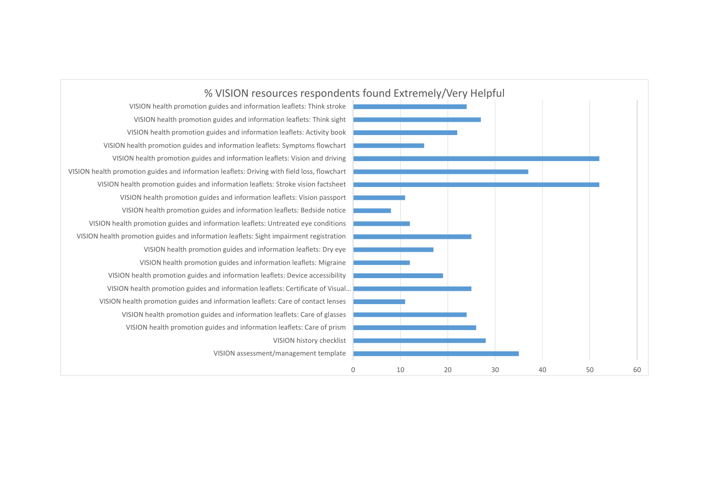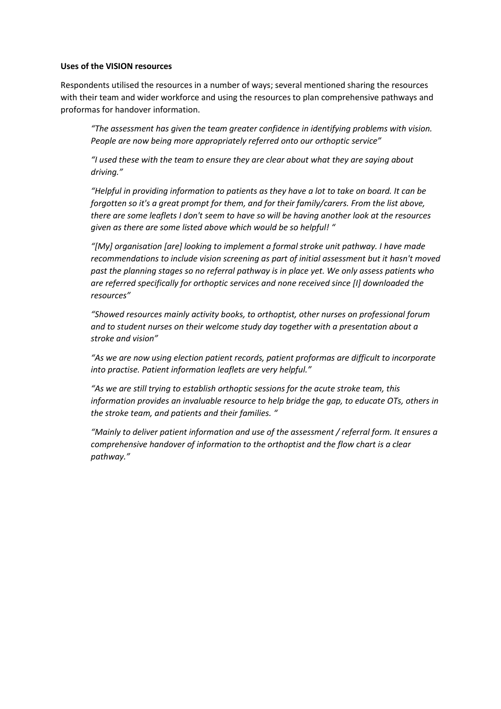#### **Uses of the VISION resources**

Respondents utilised the resources in a number of ways; several mentioned sharing the resources with their team and wider workforce and using the resources to plan comprehensive pathways and proformas for handover information.

*"The assessment has given the team greater confidence in identifying problems with vision. People are now being more appropriately referred onto our orthoptic service"*

*"I used these with the team to ensure they are clear about what they are saying about driving."*

*"Helpful in providing information to patients as they have a lot to take on board. It can be forgotten so it's a great prompt for them, and for their family/carers. From the list above, there are some leaflets I don't seem to have so will be having another look at the resources given as there are some listed above which would be so helpful! "*

*"[My] organisation [are] looking to implement a formal stroke unit pathway. I have made recommendations to include vision screening as part of initial assessment but it hasn't moved past the planning stages so no referral pathway is in place yet. We only assess patients who are referred specifically for orthoptic services and none received since [I] downloaded the resources"*

*"Showed resources mainly activity books, to orthoptist, other nurses on professional forum and to student nurses on their welcome study day together with a presentation about a stroke and vision"*

*"As we are now using election patient records, patient proformas are difficult to incorporate into practise. Patient information leaflets are very helpful."*

*"As we are still trying to establish orthoptic sessions for the acute stroke team, this information provides an invaluable resource to help bridge the gap, to educate OTs, others in the stroke team, and patients and their families. "*

*"Mainly to deliver patient information and use of the assessment / referral form. It ensures a comprehensive handover of information to the orthoptist and the flow chart is a clear pathway."*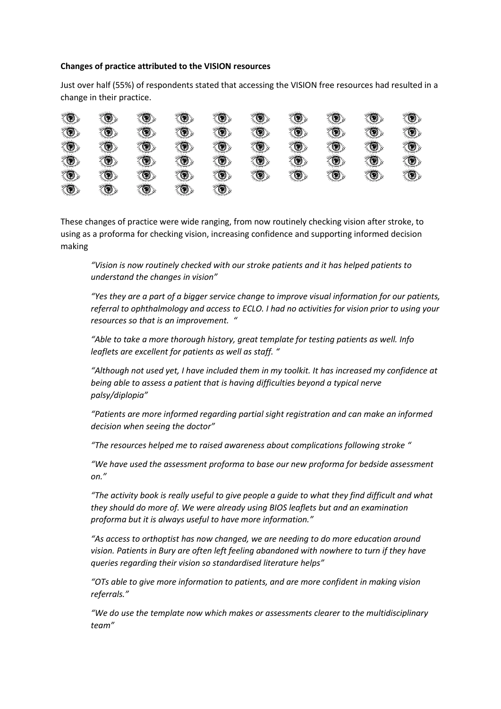#### **Changes of practice attributed to the VISION resources**

Just over half (55%) of respondents stated that accessing the VISION free resources had resulted in a change in their practice.

| Ó                         | ۱                         | Ó             | $\langle \bullet \rangle$ | $\langle \bullet \rangle$ | O                                                                                                                                                                                                                                                                                                                                                   | $\langle \bullet \rangle$ | ۱          | ۱                         | ۳ |
|---------------------------|---------------------------|---------------|---------------------------|---------------------------|-----------------------------------------------------------------------------------------------------------------------------------------------------------------------------------------------------------------------------------------------------------------------------------------------------------------------------------------------------|---------------------------|------------|---------------------------|---|
| $\circledcirc$            | ۲                         | $\circledast$ | $\bigcirc$                | *O)                       | $\bigcirc$                                                                                                                                                                                                                                                                                                                                          | $\langle \bullet \rangle$ | $\bigcirc$ | Ö,                        | ۱ |
| $\circledcirc$            | ۱                         | (O)           | O)                        | Ö.                        | $\begin{picture}(220,20) \put(0,0){\line(1,0){10}} \put(15,0){\line(1,0){10}} \put(15,0){\line(1,0){10}} \put(15,0){\line(1,0){10}} \put(15,0){\line(1,0){10}} \put(15,0){\line(1,0){10}} \put(15,0){\line(1,0){10}} \put(15,0){\line(1,0){10}} \put(15,0){\line(1,0){10}} \put(15,0){\line(1,0){10}} \put(15,0){\line(1,0){10}} \put(15,0){\line($ | Ó                         | (O)        | O)                        | Ó |
| Ó                         | ۱                         | Ó             | ۱                         | O)                        | Ó                                                                                                                                                                                                                                                                                                                                                   | ۲                         | O          | $\langle \bullet \rangle$ | Ó |
| $\langle \bullet \rangle$ | ۲                         | Ó             | ۱                         | $\bigcirc$                | O)                                                                                                                                                                                                                                                                                                                                                  | Ö,                        | Ö.         | $\langle \bullet \rangle$ | Ó |
| O)                        | $\langle \bullet \rangle$ | ۱             | O,                        | O)                        |                                                                                                                                                                                                                                                                                                                                                     |                           |            |                           |   |

These changes of practice were wide ranging, from now routinely checking vision after stroke, to using as a proforma for checking vision, increasing confidence and supporting informed decision making

*"Vision is now routinely checked with our stroke patients and it has helped patients to understand the changes in vision"*

*"Yes they are a part of a bigger service change to improve visual information for our patients, referral to ophthalmology and access to ECLO. I had no activities for vision prior to using your resources so that is an improvement. "*

*"Able to take a more thorough history, great template for testing patients as well. Info leaflets are excellent for patients as well as staff. "*

*"Although not used yet, I have included them in my toolkit. It has increased my confidence at being able to assess a patient that is having difficulties beyond a typical nerve palsy/diplopia"*

*"Patients are more informed regarding partial sight registration and can make an informed decision when seeing the doctor"*

*"The resources helped me to raised awareness about complications following stroke "*

*"We have used the assessment proforma to base our new proforma for bedside assessment on."*

*"The activity book is really useful to give people a guide to what they find difficult and what they should do more of. We were already using BIOS leaflets but and an examination proforma but it is always useful to have more information."*

*"As access to orthoptist has now changed, we are needing to do more education around vision. Patients in Bury are often left feeling abandoned with nowhere to turn if they have queries regarding their vision so standardised literature helps"*

*"OTs able to give more information to patients, and are more confident in making vision referrals."*

*"We do use the template now which makes or assessments clearer to the multidisciplinary team"*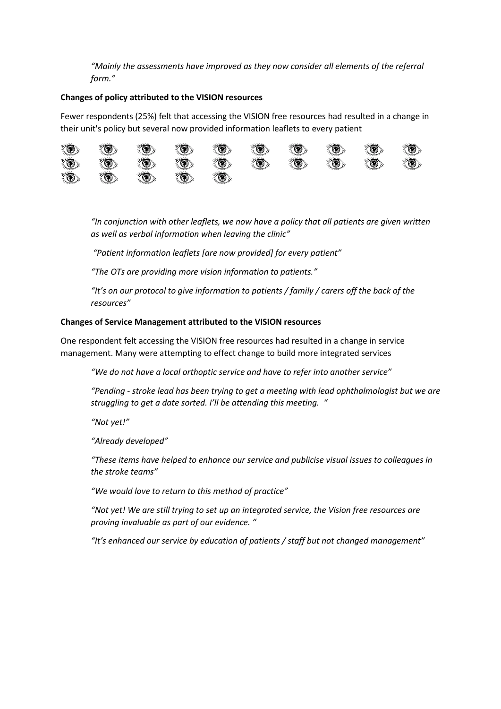*"Mainly the assessments have improved as they now consider all elements of the referral form."*

## **Changes of policy attributed to the VISION resources**

Fewer respondents (25%) felt that accessing the VISION free resources had resulted in a change in their unit's policy but several now provided information leaflets to every patient



*"In conjunction with other leaflets, we now have a policy that all patients are given written as well as verbal information when leaving the clinic"*

*"Patient information leaflets [are now provided] for every patient"*

*"The OTs are providing more vision information to patients."*

*"It's on our protocol to give information to patients / family / carers off the back of the resources"*

## **Changes of Service Management attributed to the VISION resources**

One respondent felt accessing the VISION free resources had resulted in a change in service management. Many were attempting to effect change to build more integrated services

*"We do not have a local orthoptic service and have to refer into another service"*

*"Pending - stroke lead has been trying to get a meeting with lead ophthalmologist but we are struggling to get a date sorted. I'll be attending this meeting. "*

*"Not yet!"*

*"Already developed"*

*"These items have helped to enhance our service and publicise visual issues to colleagues in the stroke teams"*

*"We would love to return to this method of practice"*

*"Not yet! We are still trying to set up an integrated service, the Vision free resources are proving invaluable as part of our evidence. "*

*"It's enhanced our service by education of patients / staff but not changed management"*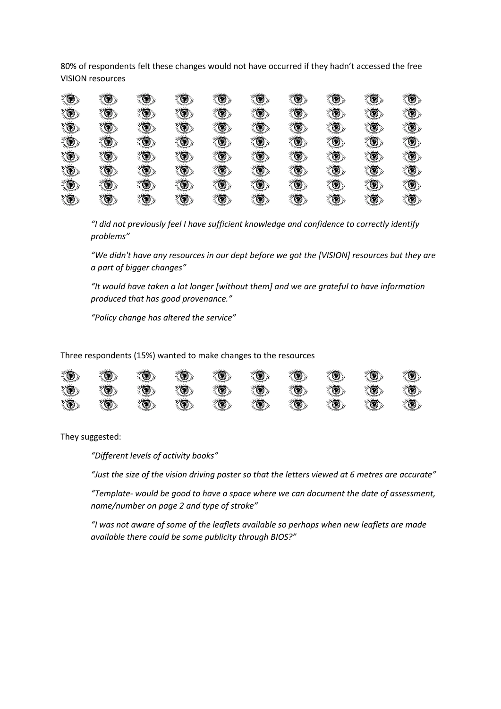80% of respondents felt these changes would not have occurred if they hadn't accessed the free VISION resources

| G                            |                |    |    |                | Ø   |     |                  |            | O)                                    |
|------------------------------|----------------|----|----|----------------|-----|-----|------------------|------------|---------------------------------------|
| O)                           | ۵              | O) | ۱  | O.             | O)  | O.  | to.              | *O)        | *O)                                   |
| O)                           | O)             | Ö, | O) | ó,             | Ô,  | o,  | t,               | to,        | Ó                                     |
| $\langle \textbf{0} \rangle$ | ۷              | O) | O. |                | O.  | O.  | ۱                | Ö,         | $\langle \bullet \rangle$             |
| O,                           | $\circledcirc$ | Ö, | ۷  | *O)            | to. | O.  | *O)              | *O)        | $\textcircled{\scriptsize\textsf{B}}$ |
| (O)                          | O)             | O) | O) | *O)            | O)  | *O) | O,               | O)         | O)                                    |
| O)                           | Ø              | O. | O) | $\circledcirc$ | Ø   | S.  | $\circledcirc$   | $\bigcirc$ | $\bigcirc$                            |
| Ø<br>$\sim$                  | 77.77          | ۳  |    |                |     |     | ۳<br>ीरसम्बद्धाः | Ø          | $\textcircled{\tiny 2}$<br>77.77      |

*"I did not previously feel I have sufficient knowledge and confidence to correctly identify problems"*

*"We didn't have any resources in our dept before we got the [VISION] resources but they are a part of bigger changes"*

*"It would have taken a lot longer [without them] and we are grateful to have information produced that has good provenance."*

*"Policy change has altered the service"*

Three respondents (15%) wanted to make changes to the resources

| O                         | $\langle \textcircled{1}$ | $\langle \bullet \rangle$ | Ø,                        | $\langle \textcircled{\textit{I}} \rangle$ | Ö, | Ö, | Ø                         | O                         | O)                        |
|---------------------------|---------------------------|---------------------------|---------------------------|--------------------------------------------|----|----|---------------------------|---------------------------|---------------------------|
| $\langle \bullet \rangle$ | $\langle \bullet \rangle$ | $\langle \bullet \rangle$ | $\langle \bullet \rangle$ | O)                                         | Ó  | O) | $\langle \bullet \rangle$ | $\langle \bullet \rangle$ | $\langle \bullet \rangle$ |
| O                         | Ø                         | $\langle \bullet \rangle$ | Ø                         | $\langle \bullet \rangle$                  | Ó  | Ø  | Ó                         | O                         | $\langle \bullet \rangle$ |

They suggested:

*"Different levels of activity books"*

*"Just the size of the vision driving poster so that the letters viewed at 6 metres are accurate"*

*"Template- would be good to have a space where we can document the date of assessment, name/number on page 2 and type of stroke"*

*"I was not aware of some of the leaflets available so perhaps when new leaflets are made available there could be some publicity through BIOS?"*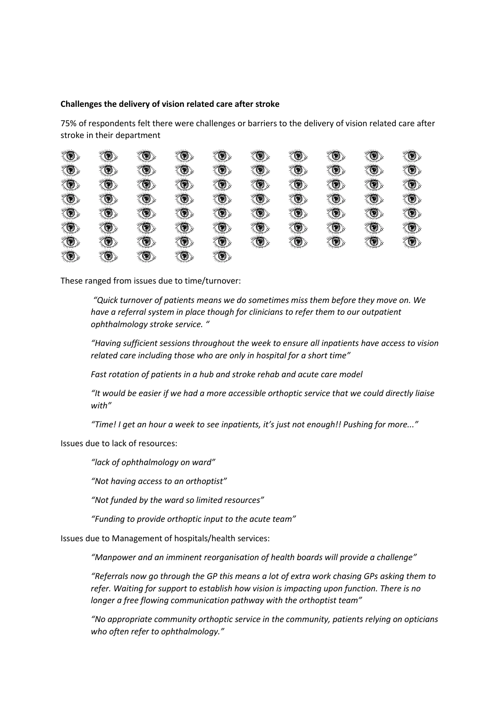#### **Challenges the delivery of vision related care after stroke**

75% of respondents felt there were challenges or barriers to the delivery of vision related care after stroke in their department

| ۳              | $\mathcal{L}$  | $\circledcirc$            |                                       |     |                | Ø   | o)  | Ø   | $\langle \bullet \rangle$ |
|----------------|----------------|---------------------------|---------------------------------------|-----|----------------|-----|-----|-----|---------------------------|
| G              | ۱              | O)                        | $\bigcirc$                            | ۷   | $\circledcirc$ | Ö.  | *O) | ۳   | O)                        |
| Ö,             | O)             | $\langle \bullet \rangle$ | ۱                                     | *O) | O)             | o,  | O)  | *O) | ۱                         |
| Ø              | $\bigcirc$     | O)                        | $\textcircled{\scriptsize\textsf{B}}$ | *O) | O)             | *O) | O)  | ۴   | ۱                         |
| O              | $\bigcirc$     | O)                        | $\bigcirc$                            | O)  | $\circledcirc$ | O)  | O)  | ۴   | ۱                         |
| O)             | O)             | ۱                         | O)                                    | *O) | O)             | O)  | *O) | *O) | O)                        |
| $\circledcirc$ | $\bigcirc$     | O)                        | $\circledcirc$                        | O.  | *O)            | ۲   | *O) | ۴   | ۳                         |
| ₹®∑            | $\circledcirc$ | O                         | o) >                                  |     |                |     |     |     |                           |

These ranged from issues due to time/turnover:

*"Quick turnover of patients means we do sometimes miss them before they move on. We have a referral system in place though for clinicians to refer them to our outpatient ophthalmology stroke service. "*

*"Having sufficient sessions throughout the week to ensure all inpatients have access to vision related care including those who are only in hospital for a short time"*

*Fast rotation of patients in a hub and stroke rehab and acute care model*

*"It would be easier if we had a more accessible orthoptic service that we could directly liaise with"*

*"Time! I get an hour a week to see inpatients, it's just not enough!! Pushing for more..."*

Issues due to lack of resources:

*"lack of ophthalmology on ward"*

*"Not having access to an orthoptist"*

*"Not funded by the ward so limited resources"*

*"Funding to provide orthoptic input to the acute team"*

Issues due to Management of hospitals/health services:

*"Manpower and an imminent reorganisation of health boards will provide a challenge"*

*"Referrals now go through the GP this means a lot of extra work chasing GPs asking them to refer. Waiting for support to establish how vision is impacting upon function. There is no longer a free flowing communication pathway with the orthoptist team"*

*"No appropriate community orthoptic service in the community, patients relying on opticians who often refer to ophthalmology."*